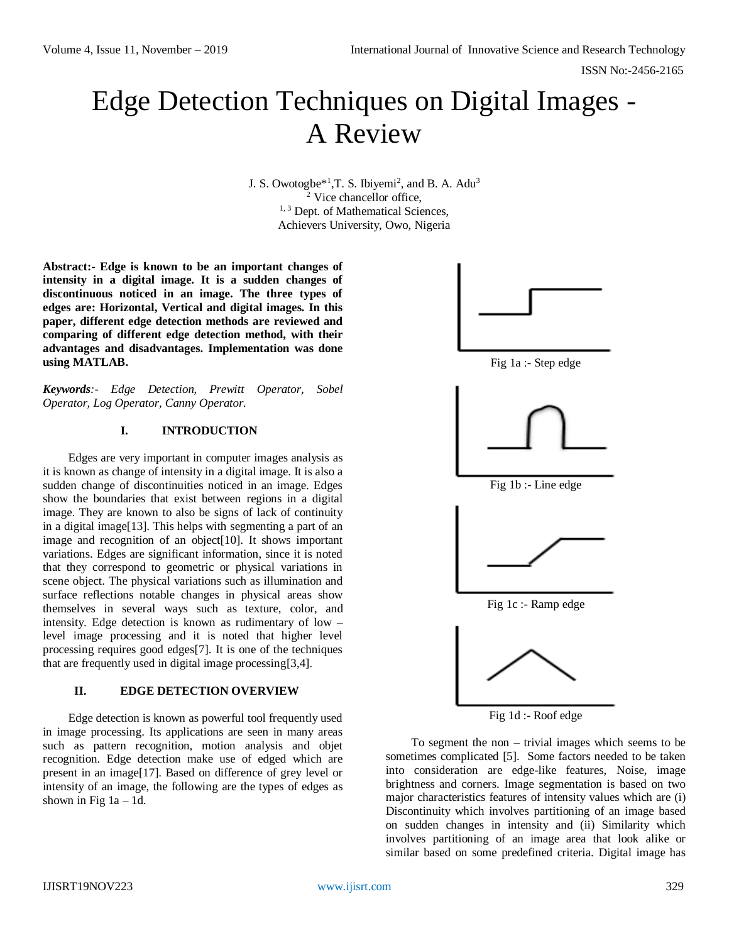# Edge Detection Techniques on Digital Images - A Review

J. S. Owotogbe $*^1$ , T. S. Ibiyemi<sup>2</sup>, and B. A. Adu<sup>3</sup>  $\frac{1}{2}$  Vice chancellor office, <sup>1, 3</sup> Dept. of Mathematical Sciences, Achievers University, Owo, Nigeria

**Abstract:- Edge is known to be an important changes of intensity in a digital image. It is a sudden changes of discontinuous noticed in an image. The three types of edges are: Horizontal, Vertical and digital images. In this paper, different edge detection methods are reviewed and comparing of different edge detection method, with their advantages and disadvantages. Implementation was done using MATLAB.**

*Keywords:- Edge Detection, Prewitt Operator, Sobel Operator, Log Operator, Canny Operator.*

### **I. INTRODUCTION**

Edges are very important in computer images analysis as it is known as change of intensity in a digital image. It is also a sudden change of discontinuities noticed in an image. Edges show the boundaries that exist between regions in a digital image. They are known to also be signs of lack of continuity in a digital image[13]. This helps with segmenting a part of an image and recognition of an object[10]. It shows important variations. Edges are significant information, since it is noted that they correspond to geometric or physical variations in scene object. The physical variations such as illumination and surface reflections notable changes in physical areas show themselves in several ways such as texture, color, and intensity. Edge detection is known as rudimentary of low – level image processing and it is noted that higher level processing requires good edges[7]. It is one of the techniques that are frequently used in digital image processing[3,4].

#### **II. EDGE DETECTION OVERVIEW**

Edge detection is known as powerful tool frequently used in image processing. Its applications are seen in many areas such as pattern recognition, motion analysis and objet recognition. Edge detection make use of edged which are present in an image[17]. Based on difference of grey level or intensity of an image, the following are the types of edges as shown in Fig  $1a - 1d$ .



Fig 1d :- Roof edge

To segment the non – trivial images which seems to be sometimes complicated [5]. Some factors needed to be taken into consideration are edge-like features, Noise, image brightness and corners. Image segmentation is based on two major characteristics features of intensity values which are (i) Discontinuity which involves partitioning of an image based on sudden changes in intensity and (ii) Similarity which involves partitioning of an image area that look alike or similar based on some predefined criteria. Digital image has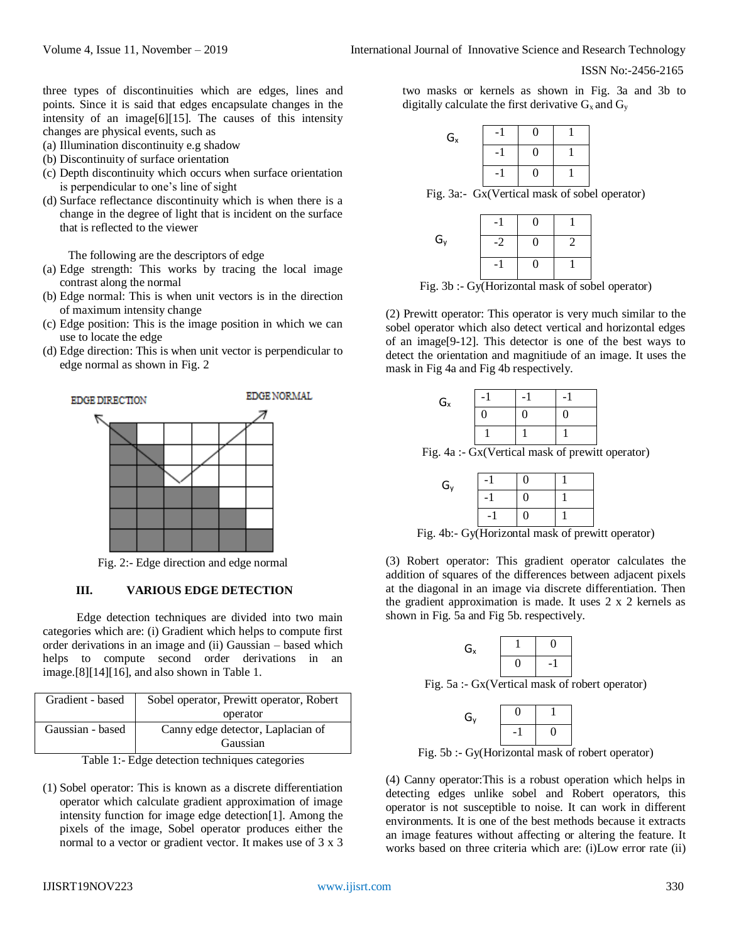ISSN No:-2456-2165

three types of discontinuities which are edges, lines and points. Since it is said that edges encapsulate changes in the intensity of an image[6][15]. The causes of this intensity changes are physical events, such as

- (a) Illumination discontinuity e.g shadow
- (b) Discontinuity of surface orientation
- (c) Depth discontinuity which occurs when surface orientation is perpendicular to one's line of sight
- (d) Surface reflectance discontinuity which is when there is a change in the degree of light that is incident on the surface that is reflected to the viewer

The following are the descriptors of edge

- (a) Edge strength: This works by tracing the local image contrast along the normal
- (b) Edge normal: This is when unit vectors is in the direction of maximum intensity change
- (c) Edge position: This is the image position in which we can use to locate the edge
- (d) Edge direction: This is when unit vector is perpendicular to edge normal as shown in Fig. 2



Fig. 2:- Edge direction and edge normal

#### **III. VARIOUS EDGE DETECTION**

Edge detection techniques are divided into two main categories which are: (i) Gradient which helps to compute first order derivations in an image and (ii) Gaussian – based which helps to compute second order derivations in an image.[8][14][16], and also shown in Table 1.

| Gradient - based | Sobel operator, Prewitt operator, Robert |  |
|------------------|------------------------------------------|--|
|                  | operator                                 |  |
| Gaussian - based | Canny edge detector, Laplacian of        |  |
|                  | Gaussian                                 |  |

Table 1:- Edge detection techniques categories

(1) Sobel operator: This is known as a discrete differentiation operator which calculate gradient approximation of image intensity function for image edge detection[1]. Among the pixels of the image, Sobel operator produces either the normal to a vector or gradient vector. It makes use of 3 x 3 two masks or kernels as shown in Fig. 3a and 3b to digitally calculate the first derivative  $G_x$  and  $G_y$ 

| $\mathsf{G}_{\mathsf{x}}$ | 0  |  |
|---------------------------|----|--|
|                           | I) |  |
|                           | 0  |  |

Fig. 3a:- Gx(Vertical mask of sobel operator)

| G <sub>y</sub> | -2 |  |
|----------------|----|--|
|                |    |  |

Fig. 3b :- Gy(Horizontal mask of sobel operator)

(2) Prewitt operator: This operator is very much similar to the sobel operator which also detect vertical and horizontal edges of an image[9-12]. This detector is one of the best ways to detect the orientation and magnitiude of an image. It uses the mask in Fig 4a and Fig 4b respectively.

| $\mathsf{G}_{\mathsf{x}}$ |   | - | - |
|---------------------------|---|---|---|
|                           | 0 |   | U |
|                           |   |   |   |

Fig. 4a :- Gx(Vertical mask of prewitt operator)

| $G_{y}$ | $\overline{\phantom{0}}$ | 0 |  |
|---------|--------------------------|---|--|
|         | -                        | 0 |  |
|         | -                        | 0 |  |

Fig. 4b:- Gy(Horizontal mask of prewitt operator)

(3) Robert operator: This gradient operator calculates the addition of squares of the differences between adjacent pixels at the diagonal in an image via discrete differentiation. Then the gradient approximation is made. It uses 2 x 2 kernels as shown in Fig. 5a and Fig 5b. respectively.

| G <sub>x</sub> |  |
|----------------|--|
|                |  |

Fig. 5a :- Gx(Vertical mask of robert operator)

| G <sub>y</sub> |  |  |
|----------------|--|--|
|                |  |  |

Fig. 5b :- Gy(Horizontal mask of robert operator)

(4) Canny operator:This is a robust operation which helps in detecting edges unlike sobel and Robert operators, this operator is not susceptible to noise. It can work in different environments. It is one of the best methods because it extracts an image features without affecting or altering the feature. It works based on three criteria which are: (i)Low error rate (ii)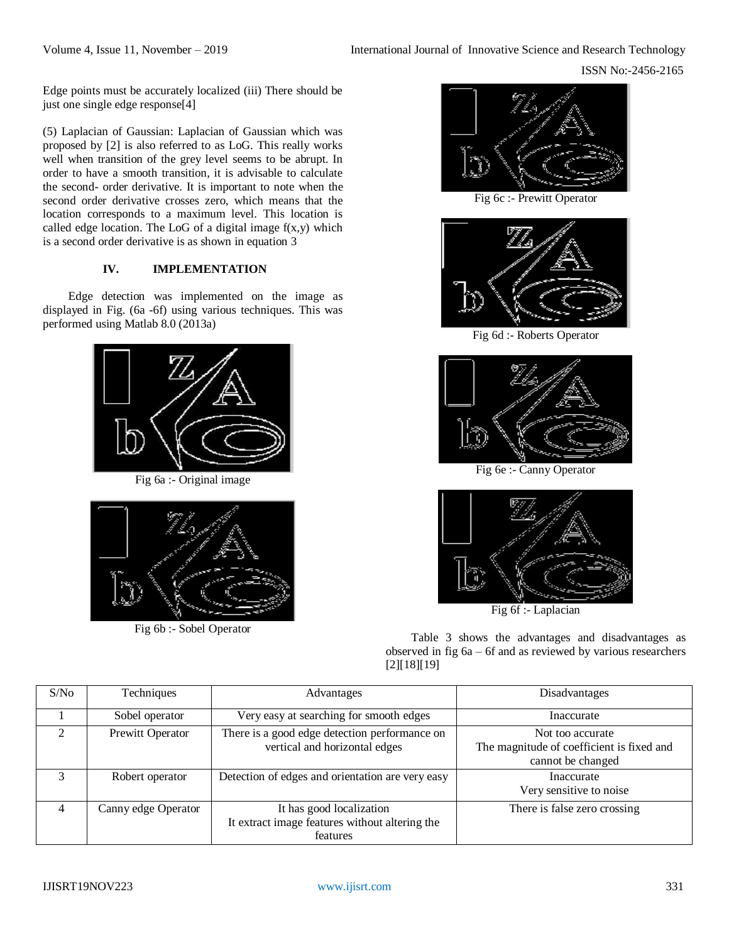Edge points must be accurately localized (iii) There should be just one single edge response[4]

(5) Laplacian of Gaussian: Laplacian of Gaussian which was proposed by [2] is also referred to as LoG. This really works well when transition of the grey level seems to be abrupt. In order to have a smooth transition, it is advisable to calculate the second- order derivative. It is important to note when the second order derivative crosses zero, which means that the location corresponds to a maximum level. This location is called edge location. The LoG of a digital image  $f(x,y)$  which is a second order derivative is as shown in equation 3

# **IV. IMPLEMENTATION**

Edge detection was implemented on the image as displayed in Fig. (6a -6f) using various techniques. This was performed using Matlab 8.0 (2013a)





Fig 6b :- Sobel Operator



Fig 6c :- Prewitt Operator



Fig 6d :- Roberts Operator



Fig 6e :- Canny Operator



Fig 6f :- Laplacian

Table 3 shows the advantages and disadvantages as observed in fig 6a – 6f and as reviewed by various researchers [2][18][19]

| S/N <sub>0</sub> | Techniques          | Advantages                                                                             | Disadvantages                                                                      |
|------------------|---------------------|----------------------------------------------------------------------------------------|------------------------------------------------------------------------------------|
|                  | Sobel operator      | Very easy at searching for smooth edges                                                | Inaccurate                                                                         |
| $\mathfrak{D}$   | Prewitt Operator    | There is a good edge detection performance on<br>vertical and horizontal edges         | Not too accurate<br>The magnitude of coefficient is fixed and<br>cannot be changed |
| 3                | Robert operator     | Detection of edges and orientation are very easy                                       | Inaccurate<br>Very sensitive to noise                                              |
| $\overline{4}$   | Canny edge Operator | It has good localization<br>It extract image features without altering the<br>features | There is false zero crossing                                                       |